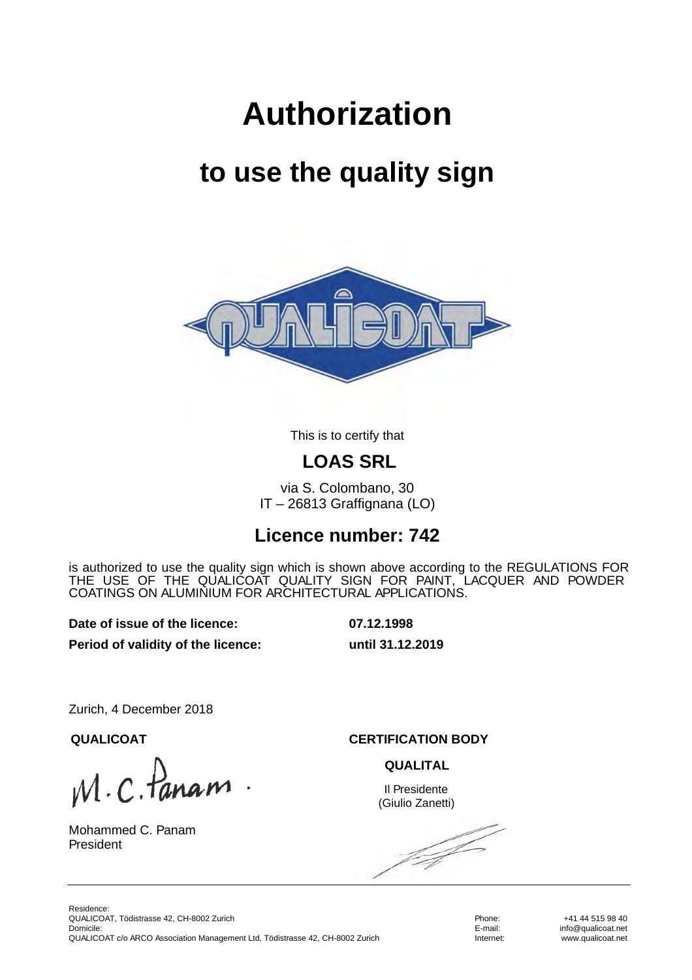# **Authorization**

## **to use the quality sign**



This is to certify that

#### **LOAS SRL**

via S. Colombano, 30 IT – 26813 Graffignana (LO)

#### **Licence number: 742**

is authorized to use the quality sign which is shown above according to the REGULATIONS FOR THE USE OF THE QUALICOAT QUALITY SIGN FOR PAINT, LACQUER AND POWDER COATINGS ON ALUMINIUM FOR ARCHITECTURAL APPLICATIONS.

**Date of issue of the licence: 07.12.1998**

**Period of validity of the licence: until 31.12.2019**

Zurich, 4 December 2018

 $M.C.$  Pane

Mohammed C. Panam President

**QUALICOAT CERTIFICATION BODY**

**QUALITAL**

Il Presidente (Giulio Zanetti)

f f

Phone: E-mail: Internet:

+41 44 515 98 40 info@qualicoat.net www.qualicoat.net